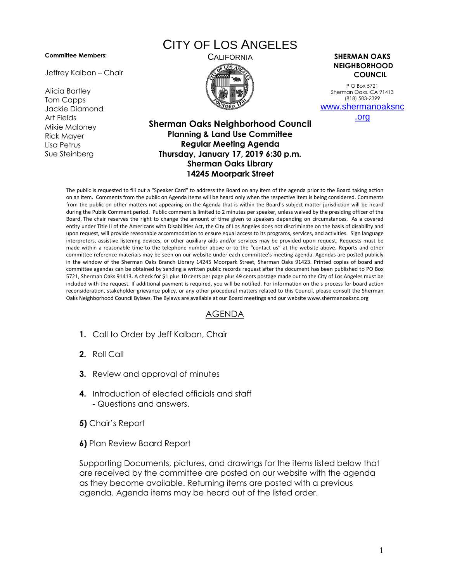## **Committee Members:**

Jeffrey Kalban – Chair

Alicia Bartley Tom Capps Jackie Diamond Art Fields Mikie Maloney Rick Mayer Lisa Petrus Sue Steinberg

## CITY OF LOS ANGELES



CALIFORNIA **SHERMAN OAKS NEIGHBORHOOD COUNCIL**

> P O Box 5721 Sherman Oaks, CA 91413 (818) 503-2399 [www.shermanoaksnc](http://www.shermanoaksnc.org/)

> > [.org](http://www.shermanoaksnc.org/)

## **Sherman Oaks Neighborhood Council Planning & Land Use Committee Regular Meeting Agenda Thursday, January 17, 2019 6:30 p.m. Sherman Oaks Library 14245 Moorpark Street**

The public is requested to fill out a "Speaker Card" to address the Board on any item of the agenda prior to the Board taking action on an item. Comments from the public on Agenda items will be heard only when the respective item is being considered. Comments from the public on other matters not appearing on the Agenda that is within the Board's subject matter jurisdiction will be heard during the Public Comment period. Public comment is limited to 2 minutes per speaker, unless waived by the presiding officer of the Board. The chair reserves the right to change the amount of time given to speakers depending on circumstances. As a covered entity under Title II of the Americans with Disabilities Act, the City of Los Angeles does not discriminate on the basis of disability and upon request, will provide reasonable accommodation to ensure equal access to its programs, services, and activities. Sign language interpreters, assistive listening devices, or other auxiliary aids and/or services may be provided upon request. Requests must be made within a reasonable time to the telephone number above or to the "contact us" at the website above. Reports and other committee reference materials may be seen on our website under each committee's meeting agenda. Agendas are posted publicly in the window of the Sherman Oaks Branch Library 14245 Moorpark Street, Sherman Oaks 91423. Printed copies of board and committee agendas can be obtained by sending a written public records request after the document has been published to PO Box 5721, Sherman Oaks 91413. A check for \$1 plus 10 cents per page plus 49 cents postage made out to the City of Los Angeles must be included with the request. If additional payment is required, you will be notified. For information on the s process for board action reconsideration, stakeholder grievance policy, or any other procedural matters related to this Council, please consult the Sherman Oaks Neighborhood Council Bylaws. The Bylaws are available at our Board meetings and our website www.shermanoaksnc.org

## AGENDA

- **1.** Call to Order by Jeff Kalban, Chair
- **2.** Roll Call
- **3.** Review and approval of minutes
- **4.** Introduction of elected officials and staff - Questions and answers.
- **5)** Chair's Report
- **6)** Plan Review Board Report

Supporting Documents, pictures, and drawings for the items listed below that are received by the committee are posted on our website with the agenda as they become available. Returning items are posted with a previous agenda. Agenda items may be heard out of the listed order.